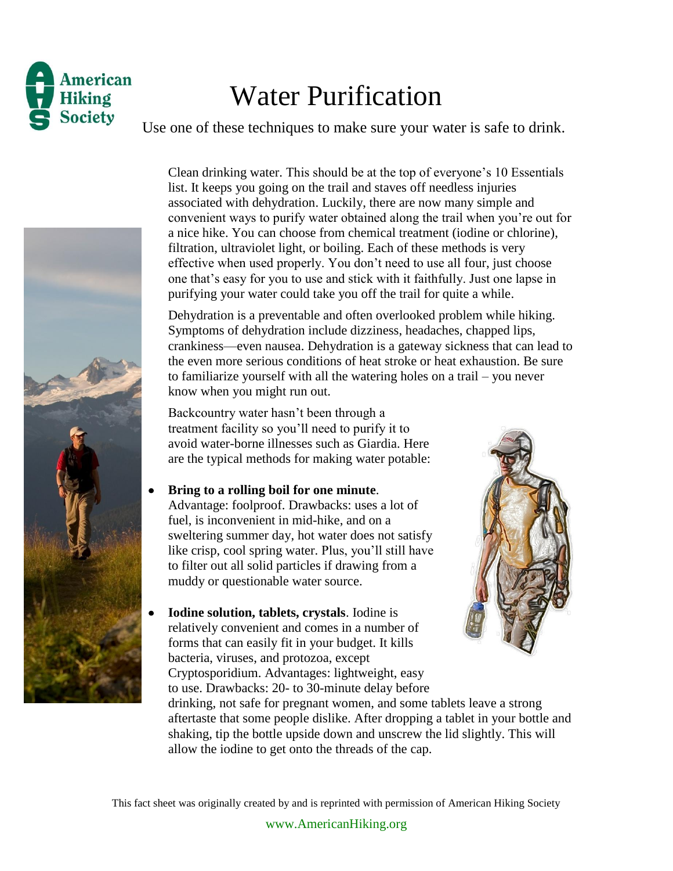

## Water Purification

Use one of these techniques to make sure your water is safe to drink.



Clean drinking water. This should be at the top of everyone's 10 Essentials list. It keeps you going on the trail and staves off needless injuries associated with dehydration. Luckily, there are now many simple and convenient ways to purify water obtained along the trail when you're out for a nice hike. You can choose from chemical treatment (iodine or chlorine), filtration, ultraviolet light, or boiling. Each of these methods is very effective when used properly. You don't need to use all four, just choose one that's easy for you to use and stick with it faithfully. Just one lapse in purifying your water could take you off the trail for quite a while.

Dehydration is a preventable and often overlooked problem while hiking. Symptoms of dehydration include dizziness, headaches, chapped lips, crankiness—even nausea. Dehydration is a gateway sickness that can lead to the even more serious conditions of heat stroke or heat exhaustion. Be sure to familiarize yourself with all the watering holes on a trail – you never know when you might run out.

Backcountry water hasn't been through a treatment facility so you'll need to purify it to avoid water-borne illnesses such as Giardia. Here are the typical methods for making water potable:

**Bring to a rolling boil for one minute**.

Advantage: foolproof. Drawbacks: uses a lot of fuel, is inconvenient in mid-hike, and on a sweltering summer day, hot water does not satisfy like crisp, cool spring water. Plus, you'll still have to filter out all solid particles if drawing from a muddy or questionable water source.

**Iodine solution, tablets, crystals**. Iodine is relatively convenient and comes in a number of forms that can easily fit in your budget. It kills bacteria, viruses, and protozoa, except Cryptosporidium. Advantages: lightweight, easy to use. Drawbacks: 20- to 30-minute delay before



drinking, not safe for pregnant women, and some tablets leave a strong aftertaste that some people dislike. After dropping a tablet in your bottle and shaking, tip the bottle upside down and unscrew the lid slightly. This will allow the iodine to get onto the threads of the cap.

This fact sheet was originally created by and is reprinted with permission of American Hiking Society